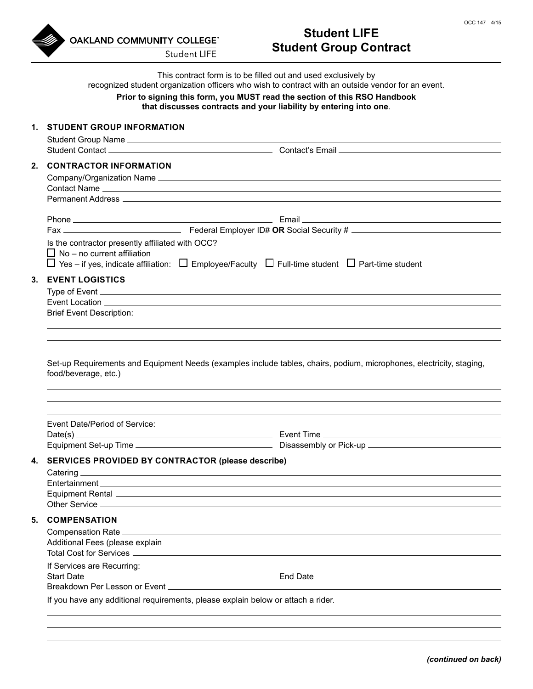

# **Student LIFE Student Group Contract**

This contract form is to be filled out and used exclusively by

recognized student organization officers who wish to contract with an outside vendor for an event.

#### **Prior to signing this form, you MUST read the section of this RSO Handbook that discusses contracts and your liability by entering into one**.

|    | 1. STUDENT GROUP INFORMATION                                                                                                                                                                                                                                                              |  |
|----|-------------------------------------------------------------------------------------------------------------------------------------------------------------------------------------------------------------------------------------------------------------------------------------------|--|
|    |                                                                                                                                                                                                                                                                                           |  |
|    | 2. CONTRACTOR INFORMATION                                                                                                                                                                                                                                                                 |  |
|    |                                                                                                                                                                                                                                                                                           |  |
|    |                                                                                                                                                                                                                                                                                           |  |
|    |                                                                                                                                                                                                                                                                                           |  |
|    |                                                                                                                                                                                                                                                                                           |  |
|    |                                                                                                                                                                                                                                                                                           |  |
|    | Is the contractor presently affiliated with OCC?<br>$\Box$ No – no current affiliation                                                                                                                                                                                                    |  |
|    | $\Box$ Yes – if yes, indicate affiliation: $\Box$ Employee/Faculty $\Box$ Full-time student $\Box$ Part-time student                                                                                                                                                                      |  |
|    | 3. EVENT LOGISTICS                                                                                                                                                                                                                                                                        |  |
|    |                                                                                                                                                                                                                                                                                           |  |
|    | Event Location Law and Contract Contract Contract Contract Contract Contract Contract Contract Contract Contract Contract Contract Contract Contract Contract Contract Contract Contract Contract Contract Contract Contract C                                                            |  |
|    | <b>Brief Event Description:</b>                                                                                                                                                                                                                                                           |  |
|    |                                                                                                                                                                                                                                                                                           |  |
|    |                                                                                                                                                                                                                                                                                           |  |
|    | Set-up Requirements and Equipment Needs (examples include tables, chairs, podium, microphones, electricity, staging,<br>food/beverage, etc.)                                                                                                                                              |  |
|    |                                                                                                                                                                                                                                                                                           |  |
|    |                                                                                                                                                                                                                                                                                           |  |
|    | Event Date/Period of Service:                                                                                                                                                                                                                                                             |  |
|    |                                                                                                                                                                                                                                                                                           |  |
|    |                                                                                                                                                                                                                                                                                           |  |
| 4. | SERVICES PROVIDED BY CONTRACTOR (please describe)<br>Catering <b>Executive Contract Contract Contract Contract Contract Contract Contract Contract Contract Contract Contract Contract Contract Contract Contract Contract Contract Contract Contract Contract Contract Contract Cont</b> |  |
|    |                                                                                                                                                                                                                                                                                           |  |
|    |                                                                                                                                                                                                                                                                                           |  |
|    |                                                                                                                                                                                                                                                                                           |  |
| 5. | <b>COMPENSATION</b>                                                                                                                                                                                                                                                                       |  |
|    |                                                                                                                                                                                                                                                                                           |  |
|    |                                                                                                                                                                                                                                                                                           |  |
|    |                                                                                                                                                                                                                                                                                           |  |
|    | If Services are Recurring:                                                                                                                                                                                                                                                                |  |
|    |                                                                                                                                                                                                                                                                                           |  |
|    |                                                                                                                                                                                                                                                                                           |  |
|    | If you have any additional requirements, please explain below or attach a rider.                                                                                                                                                                                                          |  |
|    |                                                                                                                                                                                                                                                                                           |  |